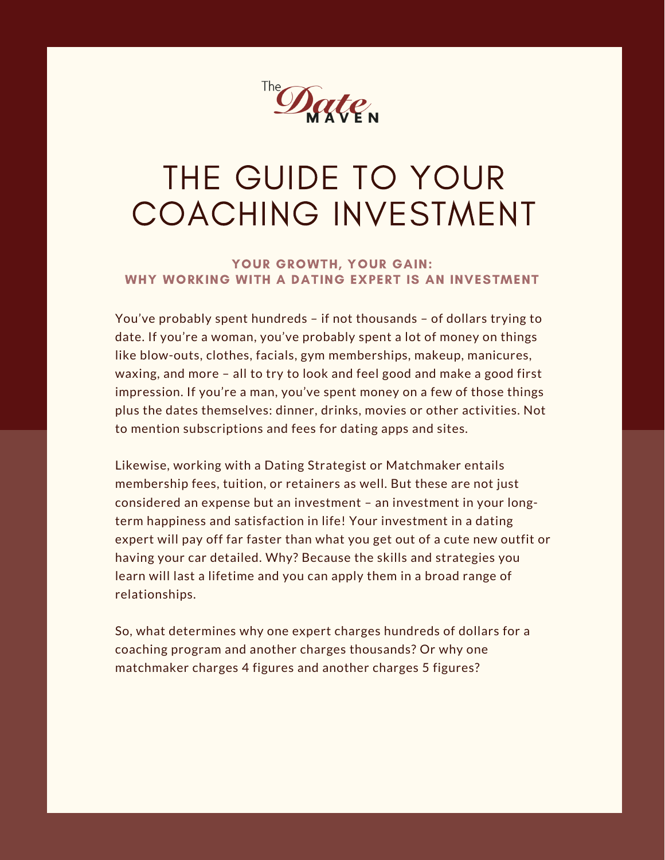

# THE GUIDE TO YOUR COACHING INVESTMENT

### YOUR GROWTH, YOUR GAIN: WHY WORKING WITH A DATING EXPERT IS AN INVESTMENT

You've probably spent hundreds – if not thousands – of dollars trying to date. If you're a woman, you've probably spent a lot of money on things like blow-outs, clothes, facials, gym memberships, makeup, manicures, waxing, and more – all to try to look and feel good and make a good first impression. If you're a man, you've spent money on a few of those things plus the dates themselves: dinner, drinks, movies or other activities. Not to mention subscriptions and fees for dating apps and sites.

Likewise, working with a Dating Strategist or Matchmaker entails membership fees, tuition, or retainers as well. But these are not just considered an expense but an investment – an investment in your longterm happiness and satisfaction in life! Your investment in a dating expert will pay off far faster than what you get out of a cute new outfit or having your car detailed. Why? Because the skills and strategies you learn will last a lifetime and you can apply them in a broad range of relationships.

So, what determines why one expert charges hundreds of dollars for a coaching program and another charges thousands? Or why one matchmaker charges 4 figures and another charges 5 figures?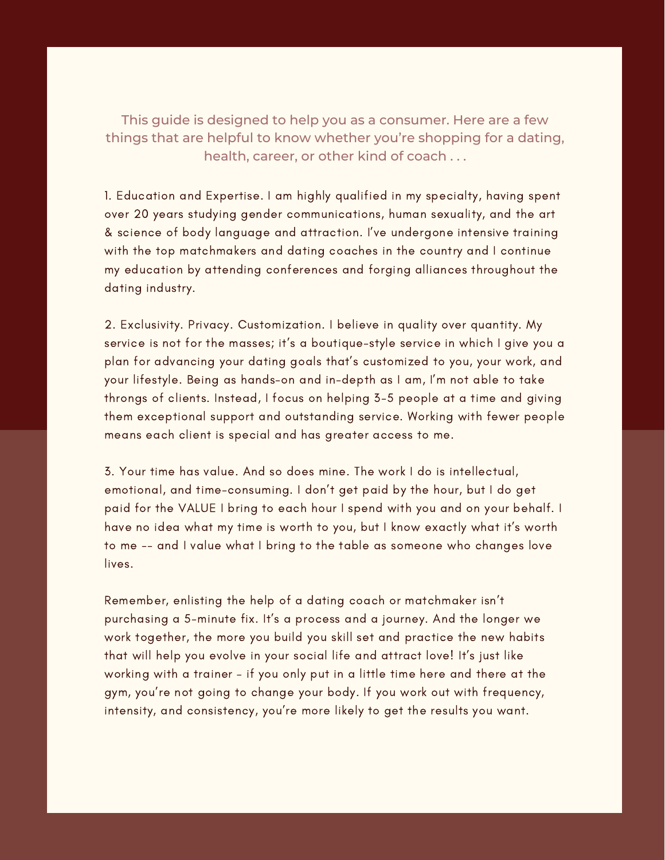This guide is designed to help you as a consumer. Here are a few things that are helpful to know whether you're shopping for a dating, health, career, or other kind of coach . . .

1. Education and Expertise. I am highly qualified in my specialty, having spent over 20 years studying gender communications, human sexuality, and the art & science of body language and attraction. I've undergone intensive training with the top matchmakers and dating coaches in the country and I continue my education by attending conferences and forging alliances throughout the dating industry.

2. Exclusivity. Privacy. Customization. I believe in quality over quantity. My service is not for the masses; it's a boutique-style service in which I give you a plan for advancing your dating goals that's customized to you, your work, and your lifestyle. Being as hands-on and in-depth as I am, I'm not able to take throngs of clients. Instead, I focus on helping 3-5 people at a time and giving them exceptional support and outstanding service. Working with fewer people means each client is special and has greater access to me.

3. Your time has value. And so does mine. The work I do is intellectual, emotional, and time-consuming. I don't get paid by the hour, but I do get paid for the VALUE I bring to each hour I spend with you and on your behalf. I have no idea what my time is worth to you, but I know exactly what it's worth to me -- and I value what I bring to the table as someone who changes love lives.

Remember, enlisting the help of a dating coach or matchmaker isn't purchasing a 5-minute fix. It's a process and a journey. And the longer we work together, the more you build you skill set and practice the new habits that will help you evolve in your social life and attract love! It's just like working with a trainer – if you only put in a little time here and there at the gym, you're not going to change your body. If you work out with frequency, intensity, and consistency, you're more likely to get the results you want.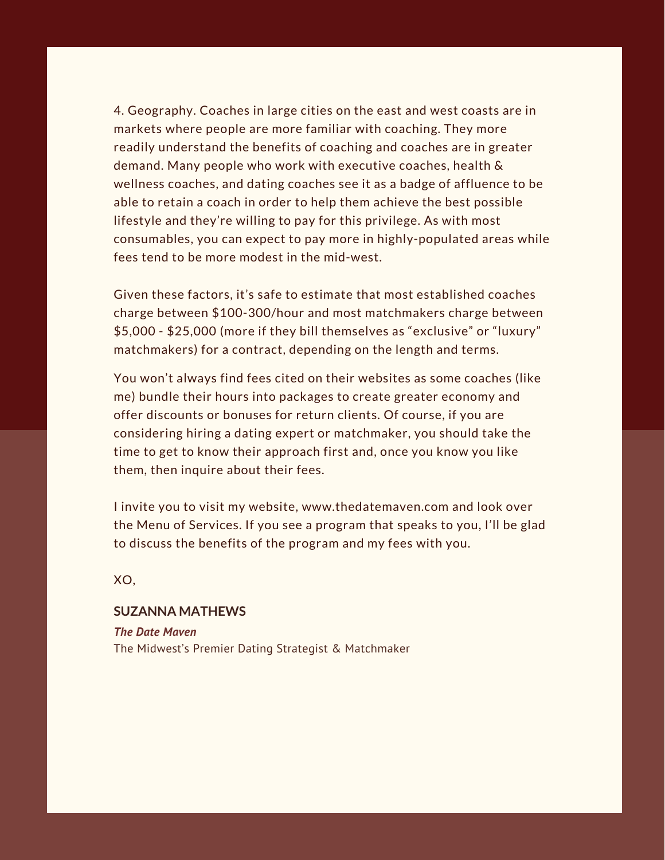4. Geography. Coaches in large cities on the east and west coasts are in markets where people are more familiar with coaching. They more readily understand the benefits of coaching and coaches are in greater demand. Many people who work with executive coaches, health & wellness coaches, and dating coaches see it as a badge of affluence to be able to retain a coach in order to help them achieve the best possible lifestyle and they're willing to pay for this privilege. As with most consumables, you can expect to pay more in highly-populated areas while fees tend to be more modest in the mid-west.

Given these factors, it's safe to estimate that most established coaches charge between \$100-300/hour and most matchmakers charge between \$5,000 - \$25,000 (more if they bill themselves as "exclusive" or "luxury" matchmakers) for a contract, depending on the length and terms.

You won't always find fees cited on their websites as some coaches (like me) bundle their hours into packages to create greater economy and offer discounts or bonuses for return clients. Of course, if you are considering hiring a dating expert or matchmaker, you should take the time to get to know their approach first and, once you know you like them, then inquire about their fees.

I invite you to visit my website, www.thedatemaven.com and look over the Menu of Services. If you see a program that speaks to you, I'll be glad to discuss the benefits of the program and my fees with you.

XO,

#### **SUZANNA MATHEWS**

*The Date Maven* The Midwest's Premier Dating Strategist & Matchmaker